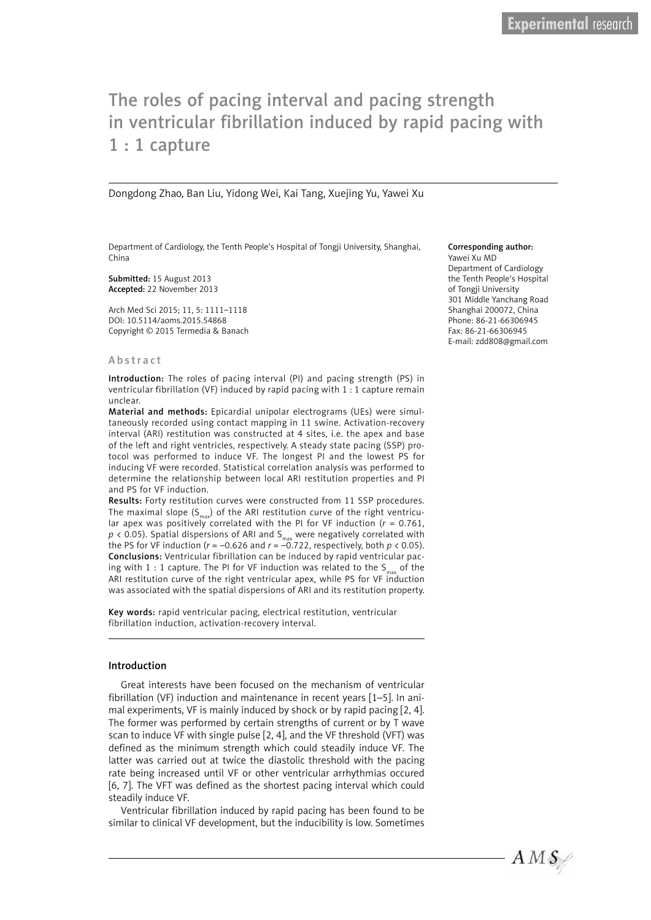# The roles of pacing interval and pacing strength in ventricular fibrillation induced by rapid pacing with 1 : 1 capture

Dongdong Zhao, Ban Liu, Yidong Wei, Kai Tang, Xuejing Yu, Yawei Xu

Department of Cardiology, the Tenth People's Hospital of Tongji University, Shanghai, China

Submitted: 15 August 2013 Accepted: 22 November 2013

Arch Med Sci 2015; 11, 5: 1111–1118 DOI: 10.5114/aoms.2015.54868 Copyright © 2015 Termedia & Banach

#### **Abstract**

Introduction: The roles of pacing interval (PI) and pacing strength (PS) in ventricular fibrillation (VF) induced by rapid pacing with 1 : 1 capture remain unclear.

Material and methods: Epicardial unipolar electrograms (UEs) were simultaneously recorded using contact mapping in 11 swine. Activation-recovery interval (ARI) restitution was constructed at 4 sites, i.e. the apex and base of the left and right ventricles, respectively. A steady state pacing (SSP) protocol was performed to induce VF. The longest PI and the lowest PS for inducing VF were recorded. Statistical correlation analysis was performed to determine the relationship between local ARI restitution properties and PI and PS for VF induction.

Results: Forty restitution curves were constructed from 11 SSP procedures. The maximal slope  $(S_{max})$  of the ARI restitution curve of the right ventricular apex was positively correlated with the PI for VF induction (*r* = 0.761,  $p$  < 0.05). Spatial dispersions of ARI and S<sub>max</sub> were negatively correlated with the PS for VF induction ( $r = -0.626$  and  $r = -0.722$ , respectively, both  $p < 0.05$ ). Conclusions: Ventricular fibrillation can be induced by rapid ventricular pacing with 1 : 1 capture. The PI for VF induction was related to the  $S_{max}$  of the ARI restitution curve of the right ventricular apex, while PS for VF induction was associated with the spatial dispersions of ARI and its restitution property.

Key words: rapid ventricular pacing, electrical restitution, ventricular fibrillation induction, activation-recovery interval.

## Introduction

Great interests have been focused on the mechanism of ventricular fibrillation (VF) induction and maintenance in recent years [1–5]. In animal experiments, VF is mainly induced by shock or by rapid pacing [2, 4]. The former was performed by certain strengths of current or by T wave scan to induce VF with single pulse [2, 4], and the VF threshold (VFT) was defined as the minimum strength which could steadily induce VF. The latter was carried out at twice the diastolic threshold with the pacing rate being increased until VF or other ventricular arrhythmias occured [6, 7]. The VFT was defined as the shortest pacing interval which could steadily induce VF.

Ventricular fibrillation induced by rapid pacing has been found to be similar to clinical VF development, but the inducibility is low. Sometimes

#### Corresponding author:

Yawei Xu MD Department of Cardiology the Tenth People's Hospital of Tongji University 301 Middle Yanchang Road Shanghai 200072, China Phone: 86-21-66306945 Fax: 86-21-66306945 E-mail: zdd808@gmail.com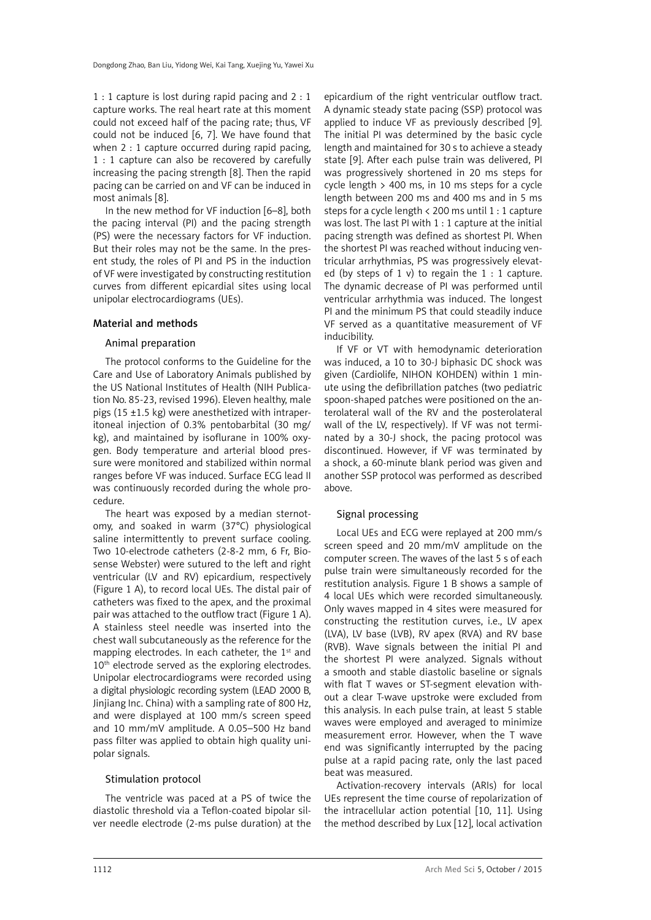1 : 1 capture is lost during rapid pacing and 2 : 1 capture works. The real heart rate at this moment could not exceed half of the pacing rate; thus, VF could not be induced [6, 7]. We have found that when 2 : 1 capture occurred during rapid pacing. 1 : 1 capture can also be recovered by carefully increasing the pacing strength [8]. Then the rapid pacing can be carried on and VF can be induced in most animals [8].

In the new method for VF induction [6–8], both the pacing interval (PI) and the pacing strength (PS) were the necessary factors for VF induction. But their roles may not be the same. In the present study, the roles of PI and PS in the induction of VF were investigated by constructing restitution curves from different epicardial sites using local unipolar electrocardiograms (UEs).

## Material and methods

## Animal preparation

The protocol conforms to the Guideline for the Care and Use of Laboratory Animals published by the US National Institutes of Health (NIH Publication No. 85-23, revised 1996). Eleven healthy, male pigs (15 ±1.5 kg) were anesthetized with intraperitoneal injection of 0.3% pentobarbital (30 mg/ kg), and maintained by isoflurane in 100% oxygen. Body temperature and arterial blood pressure were monitored and stabilized within normal ranges before VF was induced. Surface ECG lead II was continuously recorded during the whole procedure.

The heart was exposed by a median sternotomy, and soaked in warm (37°C) physiological saline intermittently to prevent surface cooling. Two 10-electrode catheters (2-8-2 mm, 6 Fr, Biosense Webster) were sutured to the left and right ventricular (LV and RV) epicardium, respectively (Figure 1 A), to record local UEs. The distal pair of catheters was fixed to the apex, and the proximal pair was attached to the outflow tract (Figure 1 A). A stainless steel needle was inserted into the chest wall subcutaneously as the reference for the mapping electrodes. In each catheter, the  $1<sup>st</sup>$  and  $10<sup>th</sup>$  electrode served as the exploring electrodes. Unipolar electrocardiograms were recorded using a digital physiologic recording system (LEAD 2000 B, Jinjiang Inc. China) with a sampling rate of 800 Hz, and were displayed at 100 mm/s screen speed and 10 mm/mV amplitude. A 0.05–500 Hz band pass filter was applied to obtain high quality unipolar signals.

## Stimulation protocol

The ventricle was paced at a PS of twice the diastolic threshold via a Teflon-coated bipolar silver needle electrode (2-ms pulse duration) at the

epicardium of the right ventricular outflow tract. A dynamic steady state pacing (SSP) protocol was applied to induce VF as previously described [9]. The initial PI was determined by the basic cycle length and maintained for 30 s to achieve a steady state [9]. After each pulse train was delivered, PI was progressively shortened in 20 ms steps for cycle length > 400 ms, in 10 ms steps for a cycle length between 200 ms and 400 ms and in 5 ms steps for a cycle length < 200 ms until 1 : 1 capture was lost. The last PI with 1 : 1 capture at the initial pacing strength was defined as shortest PI. When the shortest PI was reached without inducing ventricular arrhythmias, PS was progressively elevated (by steps of 1 v) to regain the  $1:1$  capture. The dynamic decrease of PI was performed until ventricular arrhythmia was induced. The longest PI and the minimum PS that could steadily induce VF served as a quantitative measurement of VF inducibility.

If VF or VT with hemodynamic deterioration was induced, a 10 to 30-J biphasic DC shock was given (Cardiolife, NIHON KOHDEN) within 1 minute using the defibrillation patches (two pediatric spoon-shaped patches were positioned on the anterolateral wall of the RV and the posterolateral wall of the LV, respectively). If VF was not terminated by a 30-J shock, the pacing protocol was discontinued. However, if VF was terminated by a shock, a 60-minute blank period was given and another SSP protocol was performed as described above.

## Signal processing

Local UEs and ECG were replayed at 200 mm/s screen speed and 20 mm/mV amplitude on the computer screen. The waves of the last 5 s of each pulse train were simultaneously recorded for the restitution analysis. Figure 1 B shows a sample of 4 local UEs which were recorded simultaneously. Only waves mapped in 4 sites were measured for constructing the restitution curves, i.e., LV apex (LVA), LV base (LVB), RV apex (RVA) and RV base (RVB). Wave signals between the initial PI and the shortest PI were analyzed. Signals without a smooth and stable diastolic baseline or signals with flat T waves or ST-segment elevation without a clear T-wave upstroke were excluded from this analysis. In each pulse train, at least 5 stable waves were employed and averaged to minimize measurement error. However, when the T wave end was significantly interrupted by the pacing pulse at a rapid pacing rate, only the last paced beat was measured.

Activation-recovery intervals (ARIs) for local UEs represent the time course of repolarization of the intracellular action potential [10, 11]. Using the method described by Lux [12], local activation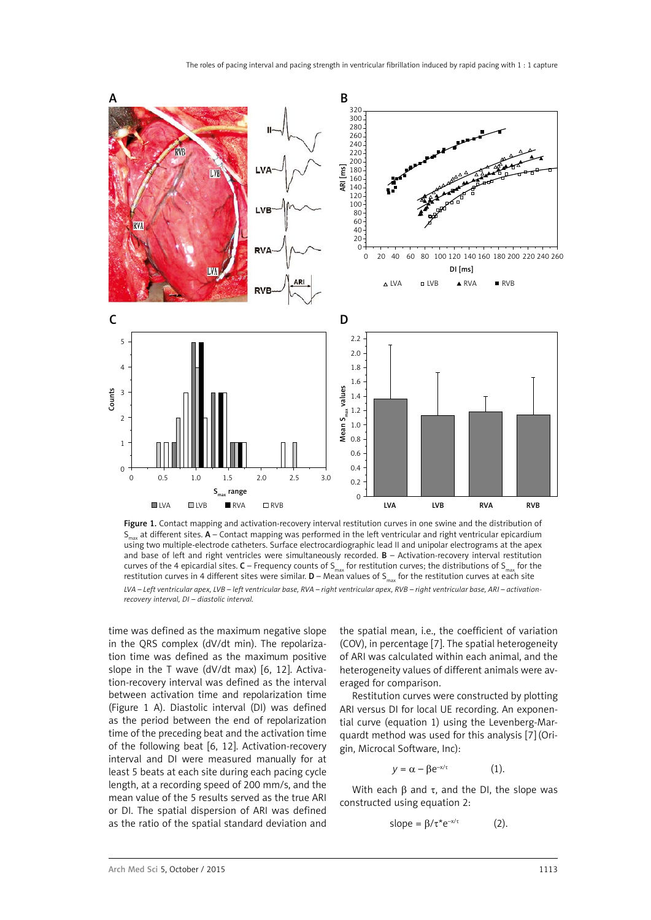

Figure 1. Contact mapping and activation-recovery interval restitution curves in one swine and the distribution of  $S<sub>max</sub>$  at different sites. A – Contact mapping was performed in the left ventricular and right ventricular epicardium using two multiple-electrode catheters. Surface electrocardiographic lead II and unipolar electrograms at the apex and base of left and right ventricles were simultaneously recorded. B – Activation-recovery interval restitution curves of the 4 epicardial sites.  $C$  – Frequency counts of  $S_{max}$  for restitution curves; the distributions of  $S_{max}$  for the restitution curves in 4 different sites were similar.  $D - M$ ean values of S<sub>max</sub> for the restitution curves at each site *LVA – Left ventricular apex, LVB – left ventricular base, RVA – right ventricular apex, RVB – right ventricular base, ARI – activationrecovery interval, DI – diastolic interval.*

time was defined as the maximum negative slope in the QRS complex (dV/dt min). The repolarization time was defined as the maximum positive slope in the T wave (dV/dt max) [6, 12]. Activation-recovery interval was defined as the interval between activation time and repolarization time (Figure 1 A). Diastolic interval (DI) was defined as the period between the end of repolarization time of the preceding beat and the activation time of the following beat [6, 12]. Activation-recovery interval and DI were measured manually for at least 5 beats at each site during each pacing cycle length, at a recording speed of 200 mm/s, and the mean value of the 5 results served as the true ARI or DI. The spatial dispersion of ARI was defined as the ratio of the spatial standard deviation and the spatial mean, i.e., the coefficient of variation (COV), in percentage [7]. The spatial heterogeneity of ARI was calculated within each animal, and the heterogeneity values of different animals were averaged for comparison.

Restitution curves were constructed by plotting ARI versus DI for local UE recording. An exponential curve (equation 1) using the Levenberg-Marquardt method was used for this analysis [7] (Origin, Microcal Software, Inc):

$$
y = \alpha - \beta e^{-x/\tau} \tag{1}.
$$

With each  $\beta$  and  $\tau$ , and the DI, the slope was constructed using equation 2:

$$
slope = \beta/\tau^* e^{-x/\tau}
$$
 (2).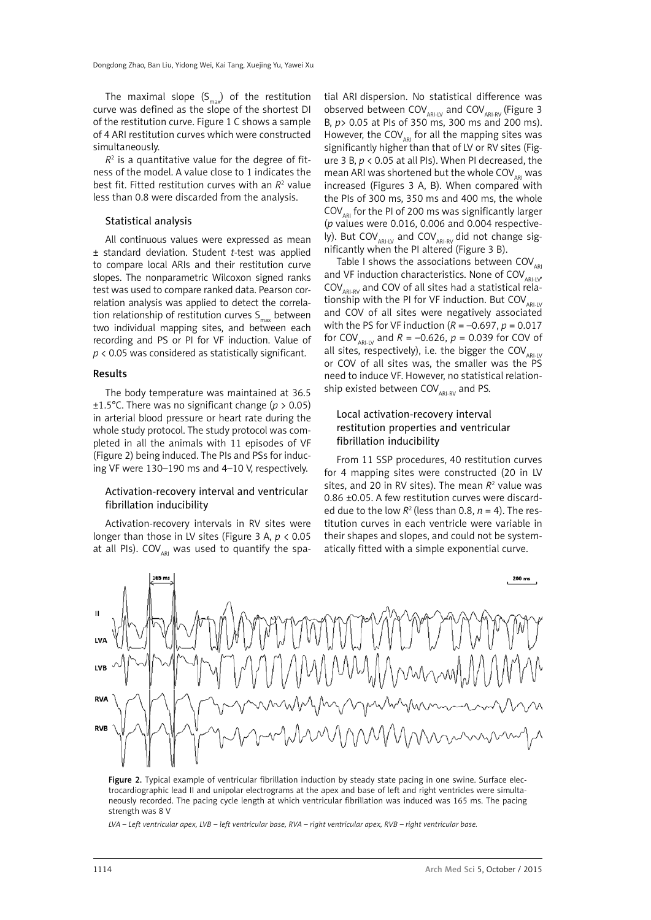The maximal slope  $(S_{max})$  of the restitution curve was defined as the slope of the shortest DI of the restitution curve. Figure 1 C shows a sample of 4 ARI restitution curves which were constructed simultaneously.

 $R<sup>2</sup>$  is a quantitative value for the degree of fitness of the model. A value close to 1 indicates the best fit. Fitted restitution curves with an  $R^2$  value less than 0.8 were discarded from the analysis.

### Statistical analysis

All continuous values were expressed as mean ± standard deviation. Student *t*-test was applied to compare local ARIs and their restitution curve slopes. The nonparametric Wilcoxon signed ranks test was used to compare ranked data. Pearson correlation analysis was applied to detect the correlation relationship of restitution curves  $S_{max}$  between two individual mapping sites, and between each recording and PS or PI for VF induction. Value of *p* < 0.05 was considered as statistically significant.

#### Results

The body temperature was maintained at 36.5 ±1.5°C. There was no significant change (*p* > 0.05) in arterial blood pressure or heart rate during the whole study protocol. The study protocol was completed in all the animals with 11 episodes of VF (Figure 2) being induced. The PIs and PSs for inducing VF were 130–190 ms and 4–10 V, respectively.

## Activation-recovery interval and ventricular fibrillation inducibility

Activation-recovery intervals in RV sites were longer than those in LV sites (Figure 3 A, *p* < 0.05 at all PIs).  $COV_{ARI}$  was used to quantify the spa-

tial ARI dispersion. No statistical difference was observed between COV $_{AR\text{-IV}}$  and COV $_{AR\text{-RV}}$  (Figure 3 B, *p*> 0.05 at PIs of 350 ms, 300 ms and 200 ms). However, the COV $_{ARI}$  for all the mapping sites was significantly higher than that of LV or RV sites (Figure 3 B, *p* < 0.05 at all PIs). When PI decreased, the mean ARI was shortened but the whole COV<sub>ARI</sub> was increased (Figures 3 A, B). When compared with the PIs of 300 ms, 350 ms and 400 ms, the whole  $COV_{\text{API}}$  for the PI of 200 ms was significantly larger (*p* values were 0.016, 0.006 and 0.004 respectively). But COV<sub>ARI-IV</sub> and COV<sub>ARI-RV</sub> did not change significantly when the PI altered (Figure 3 B).

Table I shows the associations between  $COV_{AP}$ and VF induction characteristics. None of  $\text{COV}_{\text{ARI-W}}$  $COV_{ARLRV}$  and COV of all sites had a statistical relationship with the PI for VF induction. But  $COV_{ARI-IV}$ and COV of all sites were negatively associated with the PS for VF induction  $(R = -0.697, p = 0.017)$ for COV<sub>ARI-IV</sub> and  $R = -0.626$ ,  $p = 0.039$  for COV of all sites, respectively), i.e. the bigger the  $COV_{ARI-LV}$ or COV of all sites was, the smaller was the PS need to induce VF. However, no statistical relationship existed between  $COV_{ARLRV}$  and PS.

# Local activation-recovery interval restitution properties and ventricular fibrillation inducibility

From 11 SSP procedures, 40 restitution curves for 4 mapping sites were constructed (20 in LV sites, and 20 in RV sites). The mean  $R^2$  value was 0.86 ±0.05. A few restitution curves were discarded due to the low  $R^2$  (less than 0.8,  $n = 4$ ). The restitution curves in each ventricle were variable in their shapes and slopes, and could not be systematically fitted with a simple exponential curve.



Figure 2. Typical example of ventricular fibrillation induction by steady state pacing in one swine. Surface electrocardiographic lead II and unipolar electrograms at the apex and base of left and right ventricles were simultaneously recorded. The pacing cycle length at which ventricular fibrillation was induced was 165 ms. The pacing strength was 8 V

*LVA – Left ventricular apex, LVB – left ventricular base, RVA – right ventricular apex, RVB – right ventricular base.*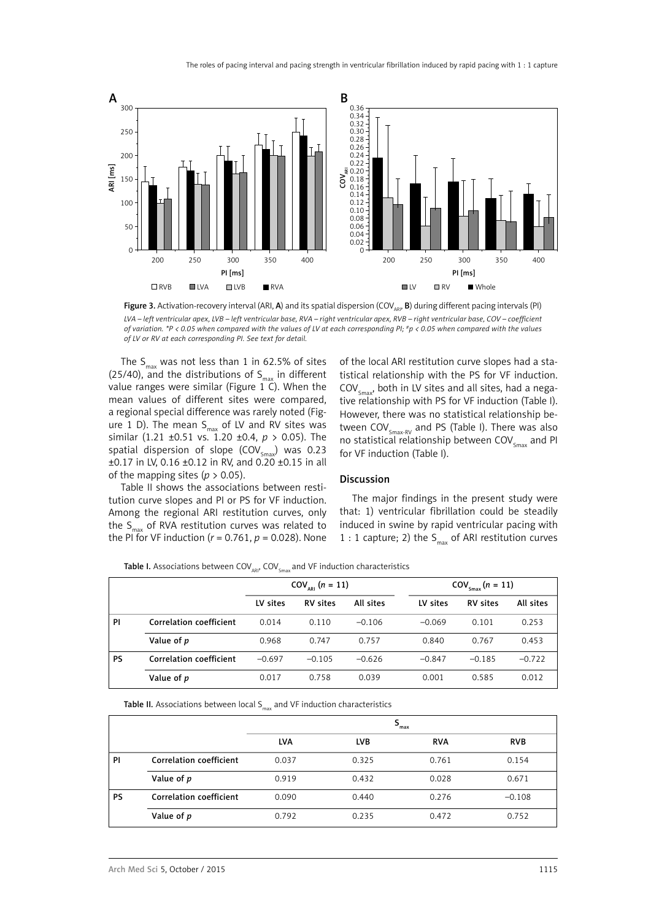

Figure 3. Activation-recovery interval (ARI, A) and its spatial dispersion (COV<sub>ARI</sub>, B) during different pacing intervals (PI) *LVA – left ventricular apex, LVB – left ventricular base, RVA – right ventricular apex, RVB – right ventricular base, COV – coefficient of variation. \*P < 0.05 when compared with the values of LV at each corresponding PI; #p < 0.05 when compared with the values of LV or RV at each corresponding PI. See text for detail.*

The  $S_{max}$  was not less than 1 in 62.5% of sites (25/40), and the distributions of  $S_{max}$  in different value ranges were similar (Figure  $1\text{ }C$ ). When the mean values of different sites were compared, a regional special difference was rarely noted (Figure 1 D). The mean  $S_{\text{max}}$  of LV and RV sites was similar (1.21 ±0.51 vs. 1.20 ±0.4, *p* > 0.05). The spatial dispersion of slope  $(COV_{\text{env}})$  was 0.23 ±0.17 in LV, 0.16 ±0.12 in RV, and 0.20 ±0.15 in all of the mapping sites  $(p > 0.05)$ .

tive relationship with PS for VF induction (Table I). However, there was no statistical relationship between  $COV_{S_{\text{max-RV}}}$  and PS (Table I). There was also no statistical relationship between  $COV<sub>cmax</sub>$  and PI for VF induction (Table I). Discussion

Table II shows the associations between restitution curve slopes and PI or PS for VF induction. Among the regional ARI restitution curves, only the  $S_{\text{max}}$  of RVA restitution curves was related to the PI for VF induction ( $r = 0.761$ ,  $p = 0.028$ ). None

The major findings in the present study were that: 1) ventricular fibrillation could be steadily induced in swine by rapid ventricular pacing with 1 : 1 capture; 2) the  $S_{\text{max}}$  of ARI restitution curves

of the local ARI restitution curve slopes had a statistical relationship with the PS for VF induction.  $COV<sub>smav</sub>$ , both in LV sites and all sites, had a nega-

Table I. Associations between  $\text{COV}_{\text{ARI}}$ ,  $\text{COV}_{\text{Smax}}$  and VF induction characteristics

|           |                         | $COV_{\text{API}}$ (n = 11) |                 |           | $COV_{\text{Smax}}(n = 11)$ |                 |           |
|-----------|-------------------------|-----------------------------|-----------------|-----------|-----------------------------|-----------------|-----------|
|           |                         | LV sites                    | <b>RV</b> sites | All sites | LV sites                    | <b>RV</b> sites | All sites |
| PI        | Correlation coefficient | 0.014                       | 0.110           | $-0.106$  | $-0.069$                    | 0.101           | 0.253     |
|           | Value of p              | 0.968                       | 0.747           | 0.757     | 0.840                       | 0.767           | 0.453     |
| <b>PS</b> | Correlation coefficient | $-0.697$                    | $-0.105$        | $-0.626$  | $-0.847$                    | $-0.185$        | $-0.722$  |
|           | Value of p              | 0.017                       | 0.758           | 0.039     | 0.001                       | 0.585           | 0.012     |

Table II. Associations between local  $S<sub>max</sub>$  and VF induction characteristics

|           |                         | s<br>max   |            |            |            |  |  |
|-----------|-------------------------|------------|------------|------------|------------|--|--|
|           |                         | <b>LVA</b> | <b>LVB</b> | <b>RVA</b> | <b>RVB</b> |  |  |
| PI        | Correlation coefficient | 0.037      | 0.325      | 0.761      | 0.154      |  |  |
|           | Value of p              | 0.919      | 0.432      | 0.028      | 0.671      |  |  |
| <b>PS</b> | Correlation coefficient | 0.090      | 0.440      | 0.276      | $-0.108$   |  |  |
|           | Value of p              | 0.792      | 0.235      | 0.472      | 0.752      |  |  |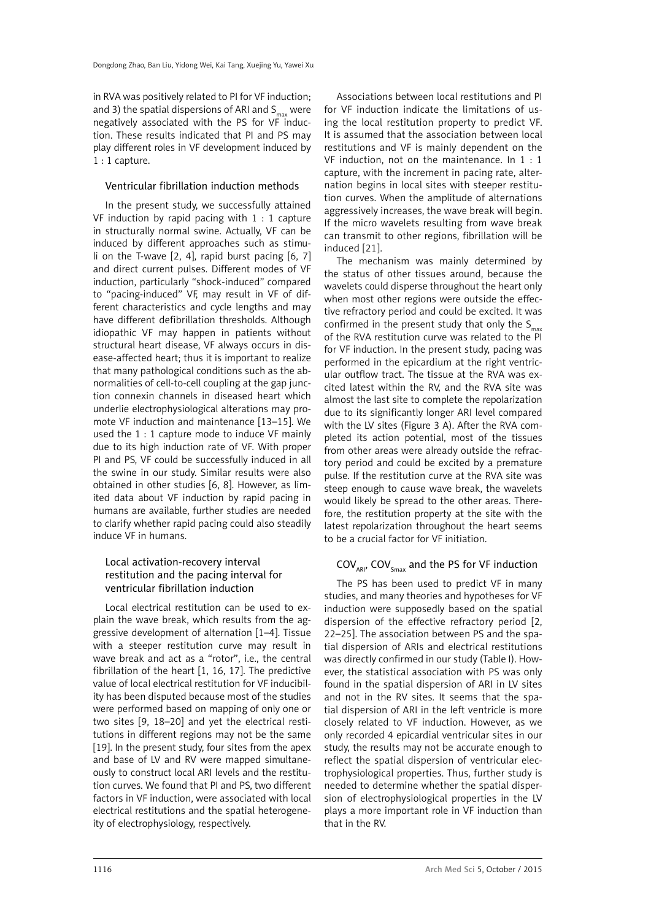in RVA was positively related to PI for VF induction; and 3) the spatial dispersions of ARI and  $S_{\text{max}}$  were negatively associated with the PS for VF induction. These results indicated that PI and PS may play different roles in VF development induced by 1 : 1 capture.

## Ventricular fibrillation induction methods

In the present study, we successfully attained VF induction by rapid pacing with 1 : 1 capture in structurally normal swine. Actually, VF can be induced by different approaches such as stimuli on the T-wave  $[2, 4]$ , rapid burst pacing  $[6, 7]$ and direct current pulses. Different modes of VF induction, particularly "shock-induced" compared to "pacing-induced" VF, may result in VF of different characteristics and cycle lengths and may have different defibrillation thresholds. Although idiopathic VF may happen in patients without structural heart disease, VF always occurs in disease-affected heart; thus it is important to realize that many pathological conditions such as the abnormalities of cell-to-cell coupling at the gap junction connexin channels in diseased heart which underlie electrophysiological alterations may promote VF induction and maintenance [13–15]. We used the 1 : 1 capture mode to induce VF mainly due to its high induction rate of VF. With proper PI and PS, VF could be successfully induced in all the swine in our study. Similar results were also obtained in other studies [6, 8]. However, as limited data about VF induction by rapid pacing in humans are available, further studies are needed to clarify whether rapid pacing could also steadily induce VF in humans.

# Local activation-recovery interval restitution and the pacing interval for ventricular fibrillation induction

Local electrical restitution can be used to explain the wave break, which results from the aggressive development of alternation [1–4]. Tissue with a steeper restitution curve may result in wave break and act as a "rotor", i.e., the central fibrillation of the heart [1, 16, 17]. The predictive value of local electrical restitution for VF inducibility has been disputed because most of the studies were performed based on mapping of only one or two sites [9, 18–20] and yet the electrical restitutions in different regions may not be the same [19]. In the present study, four sites from the apex and base of LV and RV were mapped simultaneously to construct local ARI levels and the restitution curves. We found that PI and PS, two different factors in VF induction, were associated with local electrical restitutions and the spatial heterogeneity of electrophysiology, respectively.

Associations between local restitutions and PI for VF induction indicate the limitations of using the local restitution property to predict VF. It is assumed that the association between local restitutions and VF is mainly dependent on the VF induction, not on the maintenance. In 1 : 1 capture, with the increment in pacing rate, alternation begins in local sites with steeper restitution curves. When the amplitude of alternations aggressively increases, the wave break will begin. If the micro wavelets resulting from wave break can transmit to other regions, fibrillation will be induced [21].

The mechanism was mainly determined by the status of other tissues around, because the wavelets could disperse throughout the heart only when most other regions were outside the effective refractory period and could be excited. It was confirmed in the present study that only the  $S_{\text{max}}$ of the RVA restitution curve was related to the PI for VF induction. In the present study, pacing was performed in the epicardium at the right ventricular outflow tract. The tissue at the RVA was excited latest within the RV, and the RVA site was almost the last site to complete the repolarization due to its significantly longer ARI level compared with the LV sites (Figure 3 A). After the RVA completed its action potential, most of the tissues from other areas were already outside the refractory period and could be excited by a premature pulse. If the restitution curve at the RVA site was steep enough to cause wave break, the wavelets would likely be spread to the other areas. Therefore, the restitution property at the site with the latest repolarization throughout the heart seems to be a crucial factor for VF initiation.

## $COV_{AP}$ ,  $COV_{Smax}$  and the PS for VF induction

The PS has been used to predict VF in many studies, and many theories and hypotheses for VF induction were supposedly based on the spatial dispersion of the effective refractory period [2, 22–25]. The association between PS and the spatial dispersion of ARIs and electrical restitutions was directly confirmed in our study (Table I). However, the statistical association with PS was only found in the spatial dispersion of ARI in LV sites and not in the RV sites. It seems that the spatial dispersion of ARI in the left ventricle is more closely related to VF induction. However, as we only recorded 4 epicardial ventricular sites in our study, the results may not be accurate enough to reflect the spatial dispersion of ventricular electrophysiological properties. Thus, further study is needed to determine whether the spatial dispersion of electrophysiological properties in the LV plays a more important role in VF induction than that in the RV.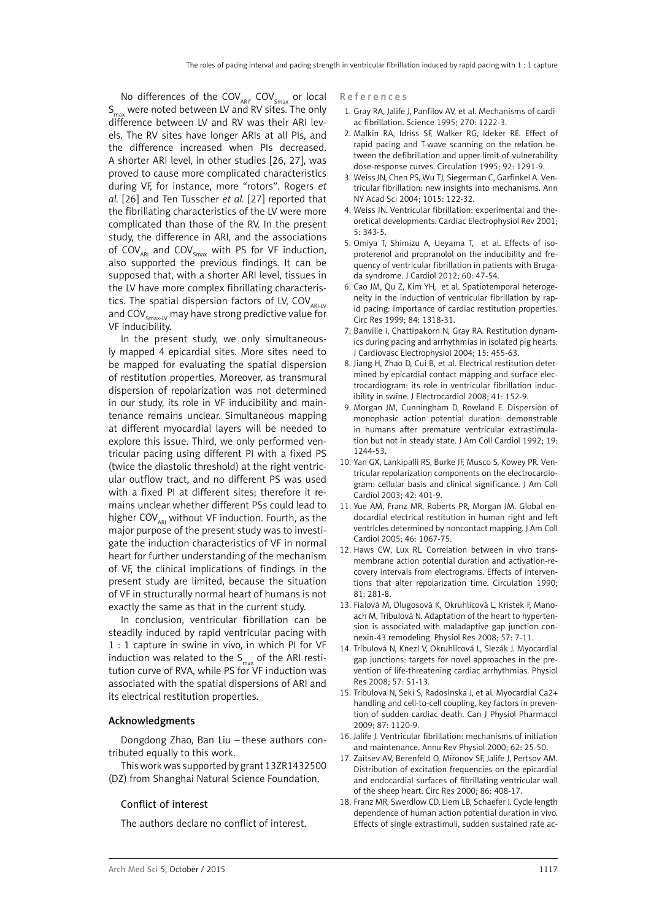No differences of the  $COV_{ARI}$ ,  $COV_{Smax}$  or local  $S_{\text{max}}$  were noted between LV and RV sites. The only difference between LV and RV was their ARI levels. The RV sites have longer ARIs at all PIs, and the difference increased when PIs decreased. A shorter ARI level, in other studies [26, 27], was proved to cause more complicated characteristics during VF, for instance, more "rotors". Rogers *et al.* [26] and Ten Tusscher *et al.* [27] reported that the fibrillating characteristics of the LV were more complicated than those of the RV. In the present study, the difference in ARI, and the associations of  $\text{COV}_{\text{\tiny ARI}}$  and  $\text{COV}_{\text{\tiny Smax}}$  with PS for VF induction, also supported the previous findings. It can be supposed that, with a shorter ARI level, tissues in the LV have more complex fibrillating characteristics. The spatial dispersion factors of LV, COV $_{ARH-V}$ and COV $_{\text{Smax-LV}}$  may have strong predictive value for VF inducibility.

In the present study, we only simultaneously mapped 4 epicardial sites. More sites need to be mapped for evaluating the spatial dispersion of restitution properties. Moreover, as transmural dispersion of repolarization was not determined in our study, its role in VF inducibility and maintenance remains unclear. Simultaneous mapping at different myocardial layers will be needed to explore this issue. Third, we only performed ventricular pacing using different PI with a fixed PS (twice the diastolic threshold) at the right ventricular outflow tract, and no different PS was used with a fixed PI at different sites; therefore it remains unclear whether different PSs could lead to higher COV $_{ARI}$  without VF induction. Fourth, as the major purpose of the present study was to investigate the induction characteristics of VF in normal heart for further understanding of the mechanism of VF, the clinical implications of findings in the present study are limited, because the situation of VF in structurally normal heart of humans is not exactly the same as that in the current study.

In conclusion, ventricular fibrillation can be steadily induced by rapid ventricular pacing with 1 : 1 capture in swine in vivo, in which PI for VF induction was related to the  $S_{\text{max}}$  of the ARI restitution curve of RVA, while PS for VF induction was associated with the spatial dispersions of ARI and its electrical restitution properties.

## Acknowledgments

Dongdong Zhao, Ban Liu – these authors contributed equally to this work.

This work was supported by grant 13ZR1432500 (DZ) from Shanghai Natural Science Foundation.

## Conflict of interest

The authors declare no conflict of interest.

#### References

- 1. Gray RA, Jalife J, Panfilov AV, et al. Mechanisms of cardiac fibrillation. Science 1995; 270: 1222-3.
- 2. Malkin RA, Idriss SF, Walker RG, Ideker RE. Effect of rapid pacing and T-wave scanning on the relation between the defibrillation and upper-limit-of-vulnerability dose-response curves. Circulation 1995; 92: 1291-9.
- 3. Weiss JN, Chen PS, Wu TJ, Siegerman C, Garfinkel A. Ventricular fibrillation: new insights into mechanisms. Ann NY Acad Sci 2004; 1015: 122-32.
- 4. Weiss JN. Ventricular fibrillation: experimental and theoretical developments. Cardiac Electrophysiol Rev 2001; 5: 343-5.
- 5. Omiya T, Shimizu A, Ueyama T, et al. Effects of isoproterenol and propranolol on the inducibility and frequency of ventricular fibrillation in patients with Brugada syndrome. J Cardiol 2012; 60: 47-54.
- 6. Cao JM, Qu Z, Kim YH, et al. Spatiotemporal heterogeneity in the induction of ventricular fibrillation by rapid pacing: importance of cardiac restitution properties. Circ Res 1999; 84: 1318-31.
- 7. Banville I, Chattipakorn N, Gray RA. Restitution dynamics during pacing and arrhythmias in isolated pig hearts. J Cardiovasc Electrophysiol 2004; 15: 455-63.
- 8. Jiang H, Zhao D, Cui B, et al. Electrical restitution determined by epicardial contact mapping and surface electrocardiogram: its role in ventricular fibrillation inducibility in swine. J Electrocardiol 2008; 41: 152-9.
- 9. Morgan JM, Cunningham D, Rowland E. Dispersion of monophasic action potential duration: demonstrable in humans after premature ventricular extrastimulation but not in steady state. J Am Coll Cardiol 1992; 19: 1244-53.
- 10. Yan GX, Lankipalli RS, Burke JF, Musco S, Kowey PR. Ventricular repolarization components on the electrocardiogram: cellular basis and clinical significance. J Am Coll Cardiol 2003; 42: 401-9.
- 11. Yue AM, Franz MR, Roberts PR, Morgan JM. Global endocardial electrical restitution in human right and left ventricles determined by noncontact mapping. J Am Coll Cardiol 2005; 46: 1067-75.
- 12. Haws CW, Lux RL. Correlation between in vivo transmembrane action potential duration and activation-recovery intervals from electrograms. Effects of interventions that alter repolarization time. Circulation 1990; 81: 281-8.
- 13. Fialová M, Dlugosová K, Okruhlicová L, Kristek F, Manoach M, Tribulová N. Adaptation of the heart to hypertension is associated with maladaptive gap junction connexin-43 remodeling. Physiol Res 2008; 57: 7-11.
- 14. Tribulová N, Knezl V, Okruhlicová L, Slezák J. Myocardial gap junctions: targets for novel approaches in the prevention of life-threatening cardiac arrhythmias. Physiol Res 2008; 57: S1-13.
- 15. Tribulova N, Seki S, Radosinska J, et al. Myocardial Ca2+ handling and cell-to-cell coupling, key factors in prevention of sudden cardiac death. Can J Physiol Pharmacol 2009; 87: 1120-9.
- 16. Jalife J. Ventricular fibrillation: mechanisms of initiation and maintenance. Annu Rev Physiol 2000; 62: 25-50.
- 17. Zaitsev AV, Berenfeld O, Mironov SF, Jalife J, Pertsov AM. Distribution of excitation frequencies on the epicardial and endocardial surfaces of fibrillating ventricular wall of the sheep heart. Circ Res 2000; 86: 408-17.
- 18. Franz MR, Swerdlow CD, Liem LB, Schaefer J. Cycle length dependence of human action potential duration in vivo. Effects of single extrastimuli, sudden sustained rate ac-